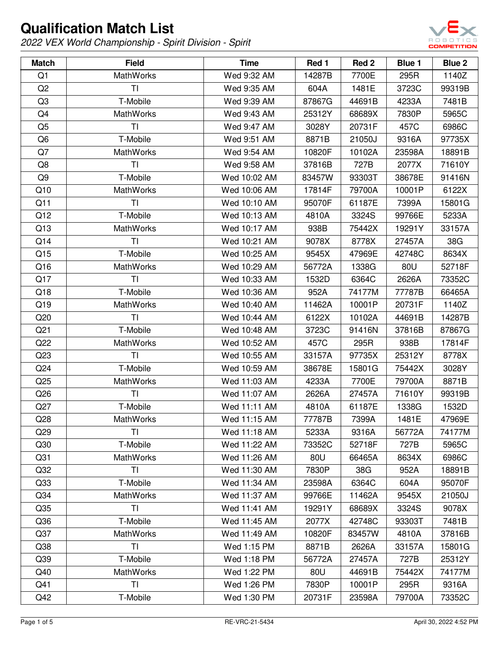

| <b>Match</b>    | <b>Field</b>     | <b>Time</b>  | Red 1  | Red 2  | Blue 1 | Blue 2 |
|-----------------|------------------|--------------|--------|--------|--------|--------|
| Q1              | <b>MathWorks</b> | Wed 9:32 AM  | 14287B | 7700E  | 295R   | 1140Z  |
| Q <sub>2</sub>  | TI               | Wed 9:35 AM  | 604A   | 1481E  | 3723C  | 99319B |
| Q3              | T-Mobile         | Wed 9:39 AM  | 87867G | 44691B | 4233A  | 7481B  |
| Q4              | <b>MathWorks</b> | Wed 9:43 AM  | 25312Y | 68689X | 7830P  | 5965C  |
| Q <sub>5</sub>  | <b>TI</b>        | Wed 9:47 AM  | 3028Y  | 20731F | 457C   | 6986C  |
| Q6              | T-Mobile         | Wed 9:51 AM  | 8871B  | 21050J | 9316A  | 97735X |
| Q7              | MathWorks        | Wed 9:54 AM  | 10820F | 10102A | 23598A | 18891B |
| Q8              | <b>TI</b>        | Wed 9:58 AM  | 37816B | 727B   | 2077X  | 71610Y |
| Q9              | T-Mobile         | Wed 10:02 AM | 83457W | 93303T | 38678E | 91416N |
| Q10             | <b>MathWorks</b> | Wed 10:06 AM | 17814F | 79700A | 10001P | 6122X  |
| Q11             | <b>TI</b>        | Wed 10:10 AM | 95070F | 61187E | 7399A  | 15801G |
| Q12             | T-Mobile         | Wed 10:13 AM | 4810A  | 3324S  | 99766E | 5233A  |
| Q13             | <b>MathWorks</b> | Wed 10:17 AM | 938B   | 75442X | 19291Y | 33157A |
| Q14             | <b>TI</b>        | Wed 10:21 AM | 9078X  | 8778X  | 27457A | 38G    |
| Q15             | T-Mobile         | Wed 10:25 AM | 9545X  | 47969E | 42748C | 8634X  |
| Q16             | MathWorks        | Wed 10:29 AM | 56772A | 1338G  | 80U    | 52718F |
| Q17             | <b>TI</b>        | Wed 10:33 AM | 1532D  | 6364C  | 2626A  | 73352C |
| Q18             | T-Mobile         | Wed 10:36 AM | 952A   | 74177M | 77787B | 66465A |
| Q19             | <b>MathWorks</b> | Wed 10:40 AM | 11462A | 10001P | 20731F | 1140Z  |
| Q20             | <b>TI</b>        | Wed 10:44 AM | 6122X  | 10102A | 44691B | 14287B |
| Q <sub>21</sub> | T-Mobile         | Wed 10:48 AM | 3723C  | 91416N | 37816B | 87867G |
| Q22             | MathWorks        | Wed 10:52 AM | 457C   | 295R   | 938B   | 17814F |
| Q23             | <b>TI</b>        | Wed 10:55 AM | 33157A | 97735X | 25312Y | 8778X  |
| Q24             | T-Mobile         | Wed 10:59 AM | 38678E | 15801G | 75442X | 3028Y  |
| Q <sub>25</sub> | MathWorks        | Wed 11:03 AM | 4233A  | 7700E  | 79700A | 8871B  |
| Q26             | T <sub>l</sub>   | Wed 11:07 AM | 2626A  | 27457A | 71610Y | 99319B |
| Q27             | T-Mobile         | Wed 11:11 AM | 4810A  | 61187E | 1338G  | 1532D  |
| Q28             | MathWorks        | Wed 11:15 AM | 77787B | 7399A  | 1481E  | 47969E |
| Q <sub>29</sub> | ΤI               | Wed 11:18 AM | 5233A  | 9316A  | 56772A | 74177M |
| Q30             | T-Mobile         | Wed 11:22 AM | 73352C | 52718F | 727B   | 5965C  |
| Q <sub>31</sub> | <b>MathWorks</b> | Wed 11:26 AM | 80U    | 66465A | 8634X  | 6986C  |
| Q <sub>32</sub> | ΤI               | Wed 11:30 AM | 7830P  | 38G    | 952A   | 18891B |
| Q <sub>33</sub> | T-Mobile         | Wed 11:34 AM | 23598A | 6364C  | 604A   | 95070F |
| Q <sub>34</sub> | MathWorks        | Wed 11:37 AM | 99766E | 11462A | 9545X  | 21050J |
| Q <sub>35</sub> | <b>TI</b>        | Wed 11:41 AM | 19291Y | 68689X | 3324S  | 9078X  |
| Q36             | T-Mobile         | Wed 11:45 AM | 2077X  | 42748C | 93303T | 7481B  |
| Q <sub>37</sub> | MathWorks        | Wed 11:49 AM | 10820F | 83457W | 4810A  | 37816B |
| Q <sub>38</sub> | <b>TI</b>        | Wed 1:15 PM  | 8871B  | 2626A  | 33157A | 15801G |
| Q <sub>39</sub> | T-Mobile         | Wed 1:18 PM  | 56772A | 27457A | 727B   | 25312Y |
| Q40             | MathWorks        | Wed 1:22 PM  | 80U    | 44691B | 75442X | 74177M |
| Q41             | <b>TI</b>        | Wed 1:26 PM  | 7830P  | 10001P | 295R   | 9316A  |
| Q42             | T-Mobile         | Wed 1:30 PM  | 20731F | 23598A | 79700A | 73352C |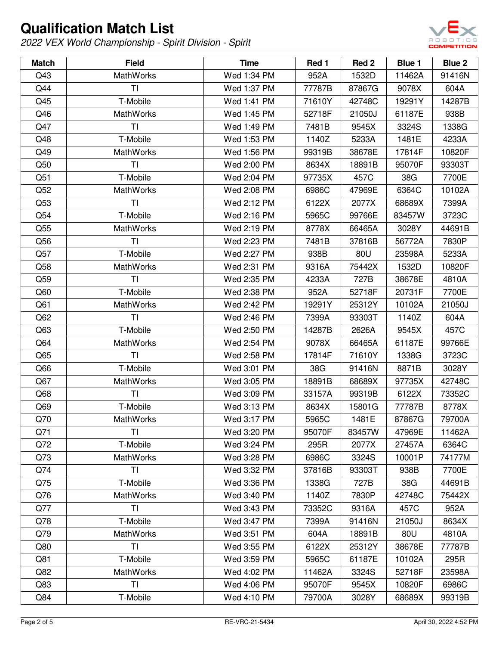

| <b>Match</b>    | <b>Field</b>     | <b>Time</b> | Red 1  | Red <sub>2</sub> | Blue 1 | Blue 2 |
|-----------------|------------------|-------------|--------|------------------|--------|--------|
| Q43             | <b>MathWorks</b> | Wed 1:34 PM | 952A   | 1532D            | 11462A | 91416N |
| Q44             | TI               | Wed 1:37 PM | 77787B | 87867G           | 9078X  | 604A   |
| Q45             | T-Mobile         | Wed 1:41 PM | 71610Y | 42748C           | 19291Y | 14287B |
| Q46             | <b>MathWorks</b> | Wed 1:45 PM | 52718F | 21050J           | 61187E | 938B   |
| Q47             | <b>TI</b>        | Wed 1:49 PM | 7481B  | 9545X            | 3324S  | 1338G  |
| Q48             | T-Mobile         | Wed 1:53 PM | 1140Z  | 5233A            | 1481E  | 4233A  |
| Q49             | <b>MathWorks</b> | Wed 1:56 PM | 99319B | 38678E           | 17814F | 10820F |
| Q50             | <b>TI</b>        | Wed 2:00 PM | 8634X  | 18891B           | 95070F | 93303T |
| Q51             | T-Mobile         | Wed 2:04 PM | 97735X | 457C             | 38G    | 7700E  |
| Q52             | <b>MathWorks</b> | Wed 2:08 PM | 6986C  | 47969E           | 6364C  | 10102A |
| Q53             | ΤI               | Wed 2:12 PM | 6122X  | 2077X            | 68689X | 7399A  |
| Q54             | T-Mobile         | Wed 2:16 PM | 5965C  | 99766E           | 83457W | 3723C  |
| Q <sub>55</sub> | MathWorks        | Wed 2:19 PM | 8778X  | 66465A           | 3028Y  | 44691B |
| Q56             | ΤI               | Wed 2:23 PM | 7481B  | 37816B           | 56772A | 7830P  |
| Q57             | T-Mobile         | Wed 2:27 PM | 938B   | 80U              | 23598A | 5233A  |
| Q58             | MathWorks        | Wed 2:31 PM | 9316A  | 75442X           | 1532D  | 10820F |
| Q59             | <b>TI</b>        | Wed 2:35 PM | 4233A  | 727B             | 38678E | 4810A  |
| Q60             | T-Mobile         | Wed 2:38 PM | 952A   | 52718F           | 20731F | 7700E  |
| Q <sub>61</sub> | MathWorks        | Wed 2:42 PM | 19291Y | 25312Y           | 10102A | 21050J |
| Q62             | T <sub>l</sub>   | Wed 2:46 PM | 7399A  | 93303T           | 1140Z  | 604A   |
| Q63             | T-Mobile         | Wed 2:50 PM | 14287B | 2626A            | 9545X  | 457C   |
| Q64             | <b>MathWorks</b> | Wed 2:54 PM | 9078X  | 66465A           | 61187E | 99766E |
| Q65             | <b>TI</b>        | Wed 2:58 PM | 17814F | 71610Y           | 1338G  | 3723C  |
| Q66             | T-Mobile         | Wed 3:01 PM | 38G    | 91416N           | 8871B  | 3028Y  |
| Q67             | MathWorks        | Wed 3:05 PM | 18891B | 68689X           | 97735X | 42748C |
| Q <sub>68</sub> | ΤI               | Wed 3:09 PM | 33157A | 99319B           | 6122X  | 73352C |
| Q <sub>69</sub> | T-Mobile         | Wed 3:13 PM | 8634X  | 15801G           | 77787B | 8778X  |
| Q70             | <b>MathWorks</b> | Wed 3:17 PM | 5965C  | 1481E            | 87867G | 79700A |
| Q71             | ΤI               | Wed 3:20 PM | 95070F | 83457W           | 47969E | 11462A |
| Q72             | T-Mobile         | Wed 3:24 PM | 295R   | 2077X            | 27457A | 6364C  |
| Q73             | MathWorks        | Wed 3:28 PM | 6986C  | 3324S            | 10001P | 74177M |
| Q74             | <b>TI</b>        | Wed 3:32 PM | 37816B | 93303T           | 938B   | 7700E  |
| Q75             | T-Mobile         | Wed 3:36 PM | 1338G  | 727B             | 38G    | 44691B |
| Q76             | MathWorks        | Wed 3:40 PM | 1140Z  | 7830P            | 42748C | 75442X |
| Q77             | T <sub>l</sub>   | Wed 3:43 PM | 73352C | 9316A            | 457C   | 952A   |
| Q78             | T-Mobile         | Wed 3:47 PM | 7399A  | 91416N           | 21050J | 8634X  |
| Q79             | <b>MathWorks</b> | Wed 3:51 PM | 604A   | 18891B           | 80U    | 4810A  |
| Q80             | <b>TI</b>        | Wed 3:55 PM | 6122X  | 25312Y           | 38678E | 77787B |
| Q81             | T-Mobile         | Wed 3:59 PM | 5965C  | 61187E           | 10102A | 295R   |
| Q82             | <b>MathWorks</b> | Wed 4:02 PM | 11462A | 3324S            | 52718F | 23598A |
| Q83             | <b>TI</b>        | Wed 4:06 PM | 95070F | 9545X            | 10820F | 6986C  |
| Q84             | T-Mobile         | Wed 4:10 PM | 79700A | 3028Y            | 68689X | 99319B |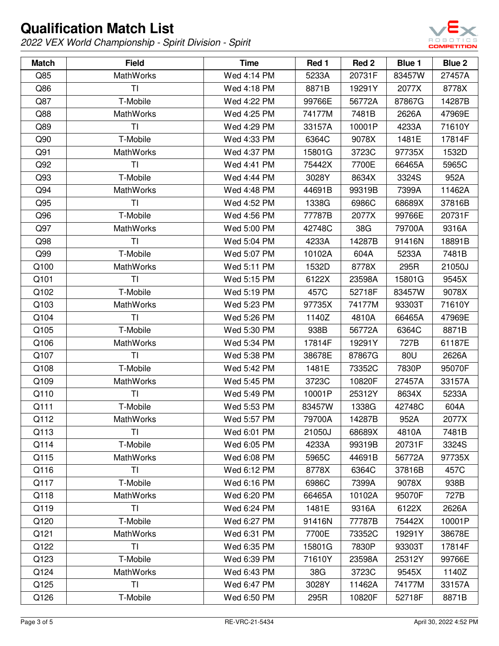

| <b>Match</b> | <b>Field</b>     | <b>Time</b> | Red 1  | Red 2  | Blue 1 | Blue 2 |
|--------------|------------------|-------------|--------|--------|--------|--------|
| Q85          | <b>MathWorks</b> | Wed 4:14 PM | 5233A  | 20731F | 83457W | 27457A |
| Q86          | <b>TI</b>        | Wed 4:18 PM | 8871B  | 19291Y | 2077X  | 8778X  |
| Q87          | T-Mobile         | Wed 4:22 PM | 99766E | 56772A | 87867G | 14287B |
| Q88          | <b>MathWorks</b> | Wed 4:25 PM | 74177M | 7481B  | 2626A  | 47969E |
| Q89          | <b>TI</b>        | Wed 4:29 PM | 33157A | 10001P | 4233A  | 71610Y |
| Q90          | T-Mobile         | Wed 4:33 PM | 6364C  | 9078X  | 1481E  | 17814F |
| Q91          | MathWorks        | Wed 4:37 PM | 15801G | 3723C  | 97735X | 1532D  |
| Q92          | <b>TI</b>        | Wed 4:41 PM | 75442X | 7700E  | 66465A | 5965C  |
| Q93          | T-Mobile         | Wed 4:44 PM | 3028Y  | 8634X  | 3324S  | 952A   |
| Q94          | <b>MathWorks</b> | Wed 4:48 PM | 44691B | 99319B | 7399A  | 11462A |
| Q95          | <b>TI</b>        | Wed 4:52 PM | 1338G  | 6986C  | 68689X | 37816B |
| Q96          | T-Mobile         | Wed 4:56 PM | 77787B | 2077X  | 99766E | 20731F |
| Q97          | <b>MathWorks</b> | Wed 5:00 PM | 42748C | 38G    | 79700A | 9316A  |
| Q98          | <b>TI</b>        | Wed 5:04 PM | 4233A  | 14287B | 91416N | 18891B |
| Q99          | T-Mobile         | Wed 5:07 PM | 10102A | 604A   | 5233A  | 7481B  |
| Q100         | MathWorks        | Wed 5:11 PM | 1532D  | 8778X  | 295R   | 21050J |
| Q101         | <b>TI</b>        | Wed 5:15 PM | 6122X  | 23598A | 15801G | 9545X  |
| Q102         | T-Mobile         | Wed 5:19 PM | 457C   | 52718F | 83457W | 9078X  |
| Q103         | MathWorks        | Wed 5:23 PM | 97735X | 74177M | 93303T | 71610Y |
| Q104         | TI               | Wed 5:26 PM | 1140Z  | 4810A  | 66465A | 47969E |
| Q105         | T-Mobile         | Wed 5:30 PM | 938B   | 56772A | 6364C  | 8871B  |
| Q106         | MathWorks        | Wed 5:34 PM | 17814F | 19291Y | 727B   | 61187E |
| Q107         | TI               | Wed 5:38 PM | 38678E | 87867G | 80U    | 2626A  |
| Q108         | T-Mobile         | Wed 5:42 PM | 1481E  | 73352C | 7830P  | 95070F |
| Q109         | MathWorks        | Wed 5:45 PM | 3723C  | 10820F | 27457A | 33157A |
| Q110         | <b>TI</b>        | Wed 5:49 PM | 10001P | 25312Y | 8634X  | 5233A  |
| Q111         | T-Mobile         | Wed 5:53 PM | 83457W | 1338G  | 42748C | 604A   |
| Q112         | MathWorks        | Wed 5:57 PM | 79700A | 14287B | 952A   | 2077X  |
| Q113         | ΤI               | Wed 6:01 PM | 21050J | 68689X | 4810A  | 7481B  |
| Q114         | T-Mobile         | Wed 6:05 PM | 4233A  | 99319B | 20731F | 3324S  |
| Q115         | MathWorks        | Wed 6:08 PM | 5965C  | 44691B | 56772A | 97735X |
| Q116         | TI               | Wed 6:12 PM | 8778X  | 6364C  | 37816B | 457C   |
| Q117         | T-Mobile         | Wed 6:16 PM | 6986C  | 7399A  | 9078X  | 938B   |
| Q118         | <b>MathWorks</b> | Wed 6:20 PM | 66465A | 10102A | 95070F | 727B   |
| Q119         | TI               | Wed 6:24 PM | 1481E  | 9316A  | 6122X  | 2626A  |
| Q120         | T-Mobile         | Wed 6:27 PM | 91416N | 77787B | 75442X | 10001P |
| Q121         | MathWorks        | Wed 6:31 PM | 7700E  | 73352C | 19291Y | 38678E |
| Q122         | T <sub>l</sub>   | Wed 6:35 PM | 15801G | 7830P  | 93303T | 17814F |
| Q123         | T-Mobile         | Wed 6:39 PM | 71610Y | 23598A | 25312Y | 99766E |
| Q124         | MathWorks        | Wed 6:43 PM | 38G    | 3723C  | 9545X  | 1140Z  |
| Q125         | ΤI               | Wed 6:47 PM | 3028Y  | 11462A | 74177M | 33157A |
| Q126         | T-Mobile         | Wed 6:50 PM | 295R   | 10820F | 52718F | 8871B  |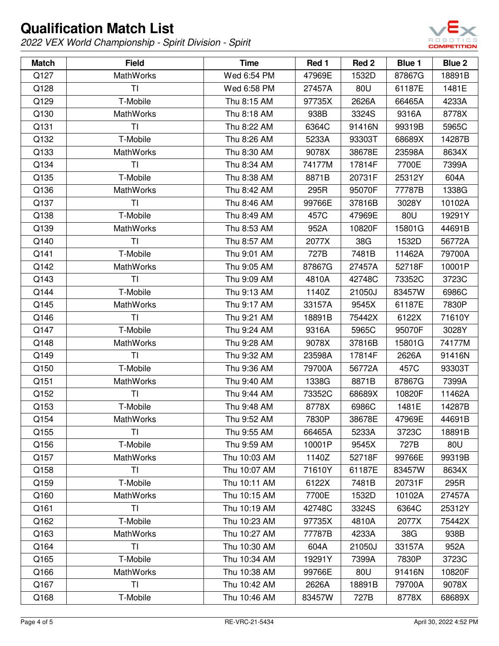

| <b>Match</b> | <b>Field</b>     | <b>Time</b>  | Red 1  | Red 2  | Blue 1 | Blue 2 |
|--------------|------------------|--------------|--------|--------|--------|--------|
| Q127         | <b>MathWorks</b> | Wed 6:54 PM  | 47969E | 1532D  | 87867G | 18891B |
| Q128         | TI               | Wed 6:58 PM  | 27457A | 80U    | 61187E | 1481E  |
| Q129         | T-Mobile         | Thu 8:15 AM  | 97735X | 2626A  | 66465A | 4233A  |
| Q130         | <b>MathWorks</b> | Thu 8:18 AM  | 938B   | 3324S  | 9316A  | 8778X  |
| Q131         | ΤI               | Thu 8:22 AM  | 6364C  | 91416N | 99319B | 5965C  |
| Q132         | T-Mobile         | Thu 8:26 AM  | 5233A  | 93303T | 68689X | 14287B |
| Q133         | <b>MathWorks</b> | Thu 8:30 AM  | 9078X  | 38678E | 23598A | 8634X  |
| Q134         | TI               | Thu 8:34 AM  | 74177M | 17814F | 7700E  | 7399A  |
| Q135         | T-Mobile         | Thu 8:38 AM  | 8871B  | 20731F | 25312Y | 604A   |
| Q136         | <b>MathWorks</b> | Thu 8:42 AM  | 295R   | 95070F | 77787B | 1338G  |
| Q137         | TI               | Thu 8:46 AM  | 99766E | 37816B | 3028Y  | 10102A |
| Q138         | T-Mobile         | Thu 8:49 AM  | 457C   | 47969E | 80U    | 19291Y |
| Q139         | <b>MathWorks</b> | Thu 8:53 AM  | 952A   | 10820F | 15801G | 44691B |
| Q140         | <b>TI</b>        | Thu 8:57 AM  | 2077X  | 38G    | 1532D  | 56772A |
| Q141         | T-Mobile         | Thu 9:01 AM  | 727B   | 7481B  | 11462A | 79700A |
| Q142         | <b>MathWorks</b> | Thu 9:05 AM  | 87867G | 27457A | 52718F | 10001P |
| Q143         | ΤI               | Thu 9:09 AM  | 4810A  | 42748C | 73352C | 3723C  |
| Q144         | T-Mobile         | Thu 9:13 AM  | 1140Z  | 21050J | 83457W | 6986C  |
| Q145         | <b>MathWorks</b> | Thu 9:17 AM  | 33157A | 9545X  | 61187E | 7830P  |
| Q146         | TI               | Thu 9:21 AM  | 18891B | 75442X | 6122X  | 71610Y |
| Q147         | T-Mobile         | Thu 9:24 AM  | 9316A  | 5965C  | 95070F | 3028Y  |
| Q148         | <b>MathWorks</b> | Thu 9:28 AM  | 9078X  | 37816B | 15801G | 74177M |
| Q149         | TI               | Thu 9:32 AM  | 23598A | 17814F | 2626A  | 91416N |
| Q150         | T-Mobile         | Thu 9:36 AM  | 79700A | 56772A | 457C   | 93303T |
| Q151         | <b>MathWorks</b> | Thu 9:40 AM  | 1338G  | 8871B  | 87867G | 7399A  |
| Q152         | <b>TI</b>        | Thu 9:44 AM  | 73352C | 68689X | 10820F | 11462A |
| Q153         | T-Mobile         | Thu 9:48 AM  | 8778X  | 6986C  | 1481E  | 14287B |
| Q154         | MathWorks        | Thu 9:52 AM  | 7830P  | 38678E | 47969E | 44691B |
| Q155         | TI.              | Thu 9:55 AM  | 66465A | 5233A  | 3723C  | 18891B |
| Q156         | T-Mobile         | Thu 9:59 AM  | 10001P | 9545X  | 727B   | 80U    |
| Q157         | <b>MathWorks</b> | Thu 10:03 AM | 1140Z  | 52718F | 99766E | 99319B |
| Q158         | ΤI               | Thu 10:07 AM | 71610Y | 61187E | 83457W | 8634X  |
| Q159         | T-Mobile         | Thu 10:11 AM | 6122X  | 7481B  | 20731F | 295R   |
| Q160         | <b>MathWorks</b> | Thu 10:15 AM | 7700E  | 1532D  | 10102A | 27457A |
| Q161         | TI               | Thu 10:19 AM | 42748C | 3324S  | 6364C  | 25312Y |
| Q162         | T-Mobile         | Thu 10:23 AM | 97735X | 4810A  | 2077X  | 75442X |
| Q163         | <b>MathWorks</b> | Thu 10:27 AM | 77787B | 4233A  | 38G    | 938B   |
| Q164         | ΤI               | Thu 10:30 AM | 604A   | 21050J | 33157A | 952A   |
| Q165         | T-Mobile         | Thu 10:34 AM | 19291Y | 7399A  | 7830P  | 3723C  |
| Q166         | <b>MathWorks</b> | Thu 10:38 AM | 99766E | 80U    | 91416N | 10820F |
| Q167         | <b>TI</b>        | Thu 10:42 AM | 2626A  | 18891B | 79700A | 9078X  |
| Q168         | T-Mobile         | Thu 10:46 AM | 83457W | 727B   | 8778X  | 68689X |